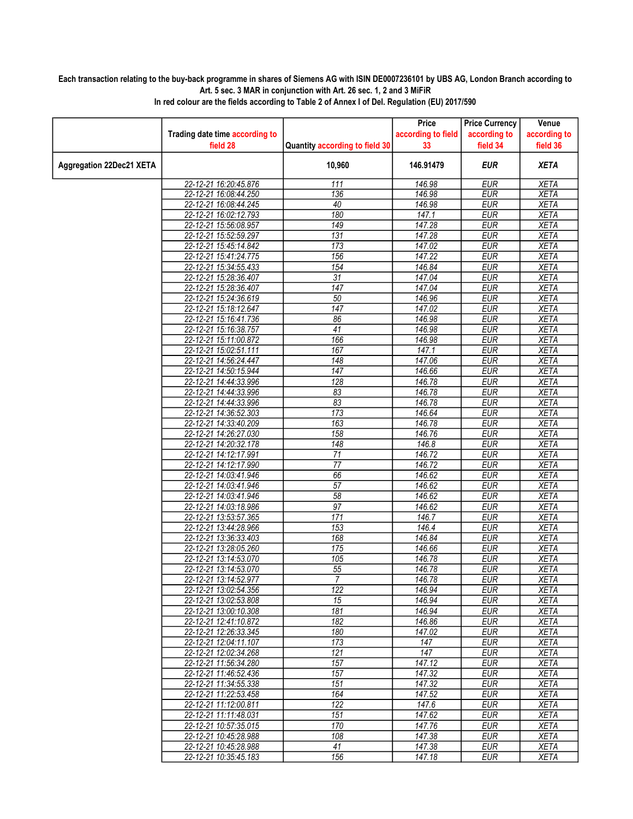## Each transaction relating to the buy-back programme in shares of Siemens AG with ISIN DE0007236101 by UBS AG, London Branch according to Art. 5 sec. 3 MAR in conjunction with Art. 26 sec. 1, 2 and 3 MiFiR

|                                 |                                                |                                | Price              | <b>Price Currency</b>    | Venue                      |
|---------------------------------|------------------------------------------------|--------------------------------|--------------------|--------------------------|----------------------------|
|                                 | Trading date time according to                 |                                | according to field | according to             | according to               |
|                                 | field 28                                       | Quantity according to field 30 | 33                 | field 34                 | field 36                   |
| <b>Aggregation 22Dec21 XETA</b> |                                                | 10,960                         | 146.91479          | <b>EUR</b>               | <b>XETA</b>                |
|                                 | 22-12-21 16:20:45.876                          | 111                            | 146.98             | <b>EUR</b>               | <b>XETA</b>                |
|                                 | 22-12-21 16:08:44.250                          | 136                            | 146.98             | <b>EUR</b>               | <b>XETA</b>                |
|                                 | 22-12-21 16:08:44.245                          | 40                             | 146.98             | <b>EUR</b>               | <b>XETA</b>                |
|                                 | 22-12-21 16:02:12.793                          | 180                            | 147.1              | <b>EUR</b>               | <b>XETA</b>                |
|                                 | 22-12-21 15:56:08.957                          | 149                            | 147.28             | <b>EUR</b>               | <b>XETA</b>                |
|                                 | 22-12-21 15:52:59.297                          | 131                            | 147.28             | <b>EUR</b>               | <b>XETA</b>                |
|                                 | 22-12-21 15:45:14.842                          | 173                            | 147.02             | <b>EUR</b>               | <b>XETA</b>                |
|                                 | 22-12-21 15:41:24.775                          | 156                            | 147.22             | <b>EUR</b>               | <b>XETA</b>                |
|                                 | 22-12-21 15:34:55.433                          | 154                            | 146.84             | <b>EUR</b>               | <b>XETA</b>                |
|                                 | 22-12-21 15:28:36.407                          | $\overline{31}$                | 147.04             | <b>EUR</b>               | <b>XETA</b>                |
|                                 | 22-12-21 15:28:36.407                          | $\overline{147}$               | 147.04             | <b>EUR</b>               | <b>XETA</b>                |
|                                 | 22-12-21 15:24:36.619<br>22-12-21 15:18:12.647 | 50<br>147                      | 146.96             | <b>EUR</b><br><b>EUR</b> | <b>XETA</b><br><b>XETA</b> |
|                                 | 22-12-21 15:16:41.736                          | 86                             | 147.02<br>146.98   | <b>EUR</b>               | <b>XETA</b>                |
|                                 | 22-12-21 15:16:38.757                          | 41                             | 146.98             | <b>EUR</b>               | <b>XETA</b>                |
|                                 | 22-12-21 15:11:00.872                          | 166                            | 146.98             | <b>EUR</b>               | <b>XETA</b>                |
|                                 | 22-12-21 15:02:51.111                          | 167                            | 147.1              | <b>EUR</b>               | <b>XETA</b>                |
|                                 | 22-12-21 14:56:24.447                          | $\overline{148}$               | 147.06             | <b>EUR</b>               | <b>XETA</b>                |
|                                 | 22-12-21 14:50:15.944                          | 147                            | 146.66             | <b>EUR</b>               | <b>XETA</b>                |
|                                 | 22-12-21 14:44:33.996                          | $\overline{128}$               | 146.78             | <b>EUR</b>               | <b>XETA</b>                |
|                                 | 22-12-21 14:44:33.996                          | 83                             | 146.78             | <b>EUR</b>               | <b>XETA</b>                |
|                                 | 22-12-21 14:44:33.996                          | 83                             | 146.78             | <b>EUR</b>               | <b>XETA</b>                |
|                                 | 22-12-21 14:36:52.303                          | 173                            | 146.64             | <b>EUR</b>               | <b>XETA</b>                |
|                                 | 22-12-21 14:33:40.209                          | 163                            | 146.78             | <b>EUR</b>               | <b>XETA</b>                |
|                                 | 22-12-21 14:26:27.030                          | 158                            | 146.76             | <b>EUR</b>               | <b>XETA</b>                |
|                                 | 22-12-21 14:20:32.178                          | $\overline{148}$               | 146.8              | <b>EUR</b>               | <b>XETA</b>                |
|                                 | 22-12-21 14:12:17.991                          | 71                             | 146.72             | <b>EUR</b>               | <b>XETA</b>                |
|                                 | 22-12-21 14:12:17.990                          | $\overline{77}$                | 146.72             | <b>EUR</b>               | <b>XETA</b>                |
|                                 | 22-12-21 14:03:41.946                          | 66                             | 146.62             | <b>EUR</b>               | <b>XETA</b>                |
|                                 | 22-12-21 14:03:41.946                          | $\overline{57}$                | 146.62             | <b>EUR</b>               | <b>XETA</b>                |
|                                 | 22-12-21 14:03:41.946                          | 58                             | 146.62             | <b>EUR</b>               | <b>XETA</b>                |
|                                 | 22-12-21 14:03:18.986                          | $\overline{97}$                | 146.62             | <b>EUR</b>               | <b>XETA</b>                |
|                                 | 22-12-21 13:53:57.365                          | 171                            | 146.7              | <b>EUR</b>               | <b>XETA</b>                |
|                                 | 22-12-21 13:44:28.966                          | 153                            | 146.4              | <b>EUR</b>               | <b>XETA</b>                |
|                                 | 22-12-21 13:36:33.403                          | 168                            | 146.84             | <b>EUR</b>               | XETA                       |
|                                 | 22-12-21 13:28:05.260                          | 175                            | 146.66             | <b>EUR</b>               | <b>XETA</b>                |
|                                 | 22-12-21 13:14:53.070                          | 105                            | 146.78             | <b>EUR</b>               | <b>XETA</b>                |
|                                 | 22-12-21 13:14:53.070                          | 55<br>$\overline{7}$           | 146.78             | <b>EUR</b>               | <b>XETA</b>                |
|                                 | 22-12-21 13:14:52.977                          |                                | 146.78             | <b>EUR</b>               | <b>XETA</b>                |
|                                 | 22-12-21 13:02:54.356<br>22-12-21 13:02:53.808 | 122<br>15                      | 146.94<br>146.94   | <b>EUR</b><br>EUR        | <b>XETA</b>                |
|                                 | 22-12-21 13:00:10.308                          | $\overline{181}$               | 146.94             | <b>EUR</b>               | XETA<br><b>XETA</b>        |
|                                 | 22-12-21 12:41:10.872                          | $\overline{182}$               | 146.86             | <b>EUR</b>               | <b>XETA</b>                |
|                                 | 22-12-21 12:26:33.345                          | 180                            | 147.02             | <b>EUR</b>               | XETA                       |
|                                 | 22-12-21 12:04:11.107                          | 173                            | 147                | <b>EUR</b>               | <b>XETA</b>                |
|                                 | 22-12-21 12:02:34.268                          | 121                            | 147                | <b>EUR</b>               | <b>XETA</b>                |
|                                 | 22-12-21 11:56:34.280                          | 157                            | $\frac{1}{47.12}$  | EUR                      | XETA                       |
|                                 | 22-12-21 11:46:52.436                          | 157                            | 147.32             | <b>EUR</b>               | <b>XETA</b>                |
|                                 | 22-12-21 11:34:55.338                          | 151                            | 147.32             | <b>EUR</b>               | <b>XETA</b>                |
|                                 | 22-12-21 11:22:53.458                          | 164                            | 147.52             | <b>EUR</b>               | <b>XETA</b>                |
|                                 | 22-12-21 11:12:00.811                          | $\overline{122}$               | 147.6              | <b>EUR</b>               | <b>XETA</b>                |
|                                 | 22-12-21 11:11:48.031                          | 151                            | 147.62             | <b>EUR</b>               | <b>XETA</b>                |
|                                 | 22-12-21 10:57:35.015                          | 170                            | 147.76             | <b>EUR</b>               | <b>XETA</b>                |
|                                 | 22-12-21 10:45:28.988                          | 108                            | 147.38             | <b>EUR</b>               | <b>XETA</b>                |
|                                 | 22-12-21 10:45:28.988                          | 41                             | 147.38             | <b>EUR</b>               | XETA                       |
|                                 | 22-12-21 10:35:45.183                          | 156                            | 147.18             | <b>EUR</b>               | <b>XETA</b>                |

In red colour are the fields according to Table 2 of Annex I of Del. Regulation (EU) 2017/590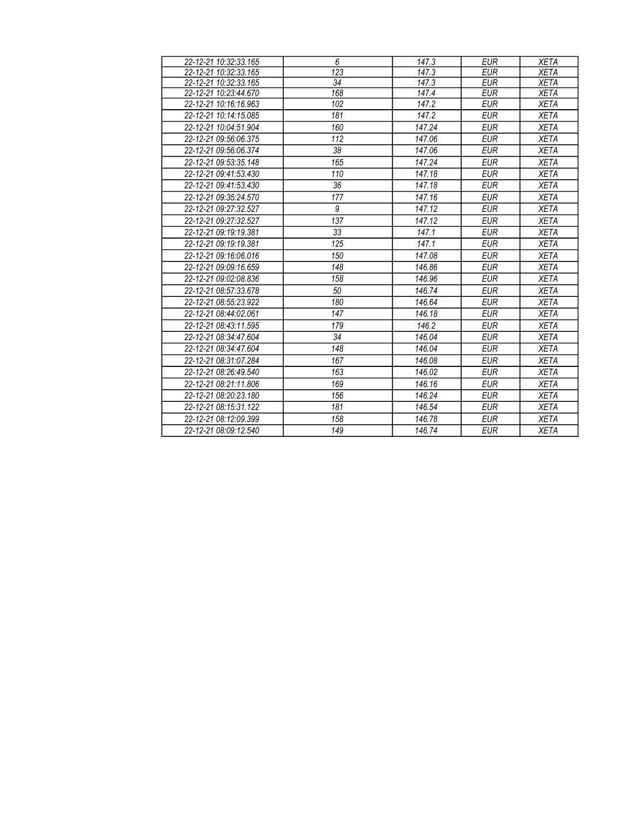| 22-12-21 10:32:33.165 | 6                | 147.3  | <b>EUR</b> | <b>XETA</b> |
|-----------------------|------------------|--------|------------|-------------|
| 22-12-21 10:32:33.165 | 123              | 147.3  | <b>EUR</b> | <b>XETA</b> |
| 22-12-21 10:32:33.165 | 34               | 147.3  | <b>EUR</b> | <b>XETA</b> |
| 22-12-21 10:23:44.670 | 168              | 147.4  | <b>EUR</b> | <b>XETA</b> |
| 22-12-21 10:16:16.963 | 102              | 147.2  | <b>EUR</b> | <b>XETA</b> |
| 22-12-21 10:14:15.085 | 181              | 147.2  | <b>EUR</b> | <b>XETA</b> |
| 22-12-21 10:04:51.904 | 160              | 147.24 | <b>EUR</b> | <b>XETA</b> |
| 22-12-21 09:56:06.375 | 112              | 147.06 | <b>EUR</b> | <b>XETA</b> |
| 22-12-21 09:56:06.374 | 38               | 147.06 | <b>EUR</b> | <b>XETA</b> |
| 22-12-21 09:53:35.148 | 165              | 147.24 | <b>EUR</b> | <b>XETA</b> |
| 22-12-21 09:41:53.430 | 110              | 147.18 | <b>EUR</b> | <b>XETA</b> |
| 22-12-21 09:41:53.430 | 36               | 147.18 | <b>EUR</b> | <b>XETA</b> |
| 22-12-21 09:35:24.570 | $\overline{177}$ | 147.16 | <b>EUR</b> | <b>XETA</b> |
| 22-12-21 09:27:32.527 | 9                | 147.12 | <b>EUR</b> | <b>XETA</b> |
| 22-12-21 09:27:32.527 | 137              | 147.12 | <b>EUR</b> | <b>XETA</b> |
| 22-12-21 09:19:19.381 | 33               | 147.1  | <b>EUR</b> | <b>XETA</b> |
| 22-12-21 09:19:19.381 | 125              | 147.1  | <b>EUR</b> | <b>XETA</b> |
| 22-12-21 09:16:06.016 | 150              | 147.08 | <b>EUR</b> | <b>XETA</b> |
| 22-12-21 09:09:16.659 | 148              | 146.86 | <b>EUR</b> | <b>XETA</b> |
| 22-12-21 09:02:08.836 | 158              | 146.96 | <b>EUR</b> | <b>XETA</b> |
| 22-12-21 08:57:33.678 | 50               | 146.74 | <b>EUR</b> | <b>XETA</b> |
| 22-12-21 08:55:23.922 | 180              | 146.64 | <b>EUR</b> | <b>XETA</b> |
| 22-12-21 08:44:02.061 | 147              | 146.18 | <b>EUR</b> | <b>XETA</b> |
| 22-12-21 08:43:11.595 | 179              | 146.2  | <b>EUR</b> | <b>XETA</b> |
| 22-12-21 08:34:47.604 | 34               | 146.04 | <b>EUR</b> | <b>XETA</b> |
| 22-12-21 08:34:47.604 | 148              | 146.04 | <b>EUR</b> | <b>XETA</b> |
| 22-12-21 08:31:07.284 | 167              | 146.08 | <b>EUR</b> | <b>XETA</b> |
| 22-12-21 08:26:49.540 | 163              | 146.02 | <b>EUR</b> | <b>XETA</b> |
| 22-12-21 08:21:11.806 | 169              | 146.16 | <b>EUR</b> | <b>XETA</b> |
| 22-12-21 08:20:23.180 | 156              | 146.24 | <b>EUR</b> | <b>XETA</b> |
| 22-12-21 08:15:31.122 | 181              | 146.54 | <b>EUR</b> | <b>XETA</b> |
| 22-12-21 08:12:09.399 | 158              | 146.78 | <b>EUR</b> | <b>XETA</b> |
| 22-12-21 08:09:12.540 | 149              | 146.74 | <b>EUR</b> | <b>XETA</b> |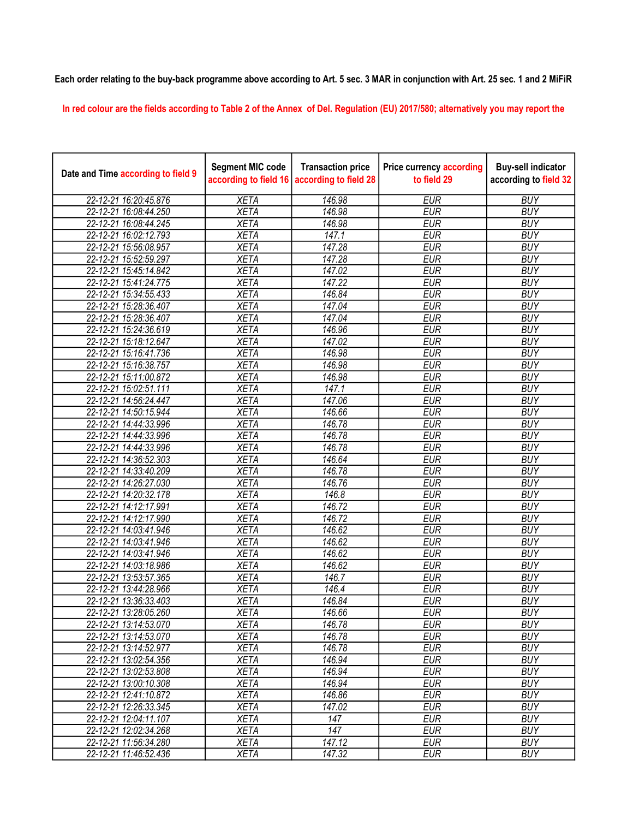## Each order relating to the buy-back programme above according to Art. 5 sec. 3 MAR in conjunction with Art. 25 sec. 1 and 2 MiFiR

In red colour are the fields according to Table 2 of the Annex of Del. Regulation (EU) 2017/580; alternatively you may report the

| Date and Time according to field 9 | <b>Segment MIC code</b><br>according to field 16 | <b>Transaction price</b><br>according to field 28 | <b>Price currency according</b><br>to field 29 | <b>Buy-sell indicator</b><br>according to field 32 |
|------------------------------------|--------------------------------------------------|---------------------------------------------------|------------------------------------------------|----------------------------------------------------|
| 22-12-21 16:20:45.876              | <b>XETA</b>                                      | 146.98                                            | <b>EUR</b>                                     | <b>BUY</b>                                         |
| 22-12-21 16:08:44.250              | <b>XETA</b>                                      | 146.98                                            | <b>EUR</b>                                     | <b>BUY</b>                                         |
| 22-12-21 16:08:44.245              | <b>XETA</b>                                      | 146.98                                            | <b>EUR</b>                                     | <b>BUY</b>                                         |
| 22-12-21 16:02:12.793              | <b>XETA</b>                                      | 147.1                                             | <b>EUR</b>                                     | <b>BUY</b>                                         |
| 22-12-21 15:56:08.957              | <b>XETA</b>                                      | 147.28                                            | <b>EUR</b>                                     | <b>BUY</b>                                         |
| 22-12-21 15:52:59.297              | <b>XETA</b>                                      | 147.28                                            | <b>EUR</b>                                     | <b>BUY</b>                                         |
| 22-12-21 15:45:14.842              | <b>XETA</b>                                      | 147.02                                            | <b>EUR</b>                                     | <b>BUY</b>                                         |
| 22-12-21 15:41:24.775              | <b>XETA</b>                                      | 147.22                                            | <b>EUR</b>                                     | <b>BUY</b>                                         |
| 22-12-21 15:34:55.433              | <b>XETA</b>                                      | 146.84                                            | <b>EUR</b>                                     | <b>BUY</b>                                         |
| 22-12-21 15:28:36.407              | <b>XETA</b>                                      | 147.04                                            | <b>EUR</b>                                     | <b>BUY</b>                                         |
| 22-12-21 15:28:36.407              | <b>XETA</b>                                      | 147.04                                            | <b>EUR</b>                                     | <b>BUY</b>                                         |
| 22-12-21 15:24:36.619              | <b>XETA</b>                                      | 146.96                                            | <b>EUR</b>                                     | <b>BUY</b>                                         |
| 22-12-21 15:18:12.647              | <b>XETA</b>                                      | 147.02                                            | <b>EUR</b>                                     | <b>BUY</b>                                         |
| 22-12-21 15:16:41.736              | <b>XETA</b>                                      | 146.98                                            | <b>EUR</b>                                     | <b>BUY</b>                                         |
| 22-12-21 15:16:38.757              | <b>XETA</b>                                      | 146.98                                            | <b>EUR</b>                                     | <b>BUY</b>                                         |
| 22-12-21 15:11:00.872              | <b>XETA</b>                                      | 146.98                                            | <b>EUR</b>                                     | <b>BUY</b>                                         |
| 22-12-21 15:02:51.111              | <b>XETA</b>                                      | 147.1                                             | <b>EUR</b>                                     | <b>BUY</b>                                         |
| 22-12-21 14:56:24.447              | <b>XETA</b>                                      | 147.06                                            | <b>EUR</b>                                     | <b>BUY</b>                                         |
| 22-12-21 14:50:15.944              | <b>XETA</b>                                      | 146.66                                            | <b>EUR</b>                                     | <b>BUY</b>                                         |
| 22-12-21 14:44:33.996              | <b>XETA</b>                                      | 146.78                                            | <b>EUR</b>                                     | <b>BUY</b>                                         |
| 22-12-21 14:44:33.996              | <b>XETA</b>                                      | 146.78                                            | <b>EUR</b>                                     | <b>BUY</b>                                         |
| 22-12-21 14:44:33.996              | <b>XETA</b>                                      | 146.78                                            | <b>EUR</b>                                     | <b>BUY</b>                                         |
| 22-12-21 14:36:52.303              | <b>XETA</b>                                      | 146.64                                            | <b>EUR</b>                                     | <b>BUY</b>                                         |
| 22-12-21 14:33:40.209              | <b>XETA</b>                                      | 146.78                                            | <b>EUR</b>                                     | <b>BUY</b>                                         |
| 22-12-21 14:26:27.030              | <b>XETA</b>                                      | 146.76                                            | <b>EUR</b>                                     | <b>BUY</b>                                         |
| 22-12-21 14:20:32.178              | <b>XETA</b>                                      | 146.8                                             | <b>EUR</b>                                     | <b>BUY</b>                                         |
| 22-12-21 14:12:17.991              | <b>XETA</b>                                      | $\frac{1}{146.72}$                                | <b>EUR</b>                                     | <b>BUY</b>                                         |
| 22-12-21 14:12:17.990              | <b>XETA</b>                                      | 146.72                                            | <b>EUR</b>                                     | <b>BUY</b>                                         |
| 22-12-21 14:03:41.946              | <b>XETA</b>                                      | 146.62                                            | <b>EUR</b>                                     | <b>BUY</b>                                         |
| 22-12-21 14:03:41.946              | <b>XETA</b>                                      | 146.62                                            | <b>EUR</b>                                     | <b>BUY</b>                                         |
| 22-12-21 14:03:41.946              | <b>XETA</b>                                      | 146.62                                            | <b>EUR</b>                                     | <b>BUY</b>                                         |
| 22-12-21 14:03:18.986              | <b>XETA</b>                                      | $\overline{146.62}$                               | <b>EUR</b>                                     | <b>BUY</b>                                         |
| 22-12-21 13:53:57.365              | <b>XETA</b>                                      | 146.7                                             | <b>EUR</b>                                     | <b>BUY</b>                                         |
| 22-12-21 13:44:28.966              | <b>XETA</b>                                      | 146.4                                             | <b>EUR</b>                                     | <b>BUY</b>                                         |
| 22-12-21 13:36:33.403              | <b>XETA</b>                                      | 146.84                                            | <b>EUR</b>                                     | <b>BUY</b>                                         |
| 22-12-21 13:28:05.260              | XETA                                             | 146.66                                            | <b>EUR</b>                                     | <b>BUY</b>                                         |
| 22-12-21 13:14:53.070              | <b>XETA</b>                                      | 146.78                                            | <b>EUR</b>                                     | <b>BUY</b>                                         |
| 22-12-21 13:14:53.070              | <b>XETA</b>                                      | 146.78                                            | <b>EUR</b>                                     | <b>BUY</b>                                         |
| 22-12-21 13:14:52.977              | <b>XETA</b>                                      | 146.78                                            | <b>EUR</b>                                     | <b>BUY</b>                                         |
| 22-12-21 13:02:54.356              | <b>XETA</b>                                      | 146.94                                            | <b>EUR</b>                                     | <b>BUY</b>                                         |
| 22-12-21 13:02:53.808              | <b>XETA</b>                                      | 146.94                                            | <b>EUR</b>                                     | <b>BUY</b>                                         |
| 22-12-21 13:00:10.308              | <b>XETA</b>                                      | 146.94                                            | <b>EUR</b>                                     | <b>BUY</b>                                         |
| 22-12-21 12:41:10.872              | <b>XETA</b>                                      | 146.86                                            | <b>EUR</b>                                     | <b>BUY</b>                                         |
| 22-12-21 12:26:33.345              | <b>XETA</b>                                      | 147.02                                            | <b>EUR</b>                                     | <b>BUY</b>                                         |
| 22-12-21 12:04:11.107              | <b>XETA</b>                                      | 147                                               | <b>EUR</b>                                     | <b>BUY</b>                                         |
| 22-12-21 12:02:34.268              | <b>XETA</b>                                      | 147                                               | <b>EUR</b>                                     | <b>BUY</b>                                         |
| 22-12-21 11:56:34.280              | <b>XETA</b>                                      | 147.12                                            | <b>EUR</b>                                     | <b>BUY</b>                                         |
| 22-12-21 11:46:52.436              | <b>XETA</b>                                      | 147.32                                            | <b>EUR</b>                                     | <b>BUY</b>                                         |